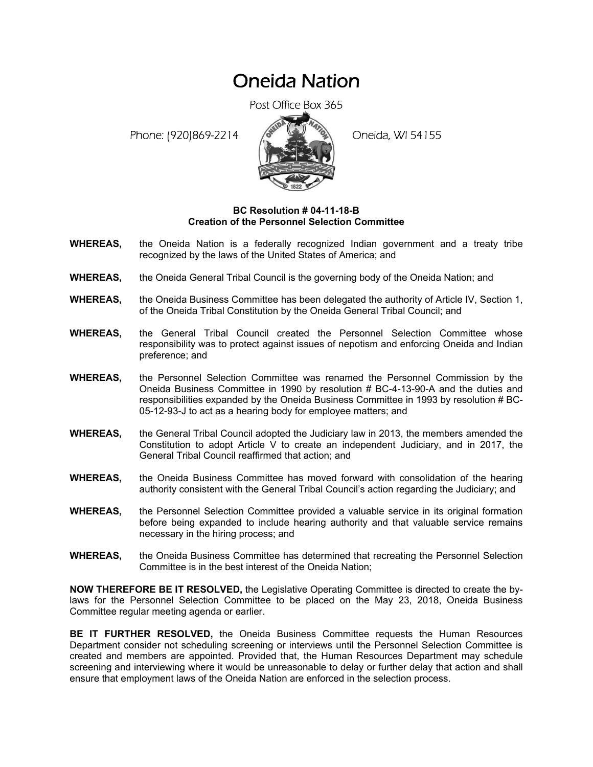## Oneida Nation

Post Office Box 365

Phone: (920)869-2214 (8 22 3) Oneida, WI 54155



## **BC Resolution # 04-11-18-B Creation of the Personnel Selection Committee**

- **WHEREAS,** the Oneida Nation is a federally recognized Indian government and a treaty tribe recognized by the laws of the United States of America; and
- **WHEREAS,** the Oneida General Tribal Council is the governing body of the Oneida Nation; and
- **WHEREAS,** the Oneida Business Committee has been delegated the authority of Article IV, Section 1, of the Oneida Tribal Constitution by the Oneida General Tribal Council; and
- **WHEREAS,** the General Tribal Council created the Personnel Selection Committee whose responsibility was to protect against issues of nepotism and enforcing Oneida and Indian preference; and
- **WHEREAS,** the Personnel Selection Committee was renamed the Personnel Commission by the Oneida Business Committee in 1990 by resolution # BC-4-13-90-A and the duties and responsibilities expanded by the Oneida Business Committee in 1993 by resolution # BC-05-12-93-J to act as a hearing body for employee matters; and
- **WHEREAS,** the General Tribal Council adopted the Judiciary law in 2013, the members amended the Constitution to adopt Article V to create an independent Judiciary, and in 2017, the General Tribal Council reaffirmed that action; and
- **WHEREAS,** the Oneida Business Committee has moved forward with consolidation of the hearing authority consistent with the General Tribal Council's action regarding the Judiciary; and
- **WHEREAS,** the Personnel Selection Committee provided a valuable service in its original formation before being expanded to include hearing authority and that valuable service remains necessary in the hiring process; and
- **WHEREAS,** the Oneida Business Committee has determined that recreating the Personnel Selection Committee is in the best interest of the Oneida Nation;

**NOW THEREFORE BE IT RESOLVED,** the Legislative Operating Committee is directed to create the bylaws for the Personnel Selection Committee to be placed on the May 23, 2018, Oneida Business Committee regular meeting agenda or earlier.

**BE IT FURTHER RESOLVED,** the Oneida Business Committee requests the Human Resources Department consider not scheduling screening or interviews until the Personnel Selection Committee is created and members are appointed. Provided that, the Human Resources Department may schedule screening and interviewing where it would be unreasonable to delay or further delay that action and shall ensure that employment laws of the Oneida Nation are enforced in the selection process.